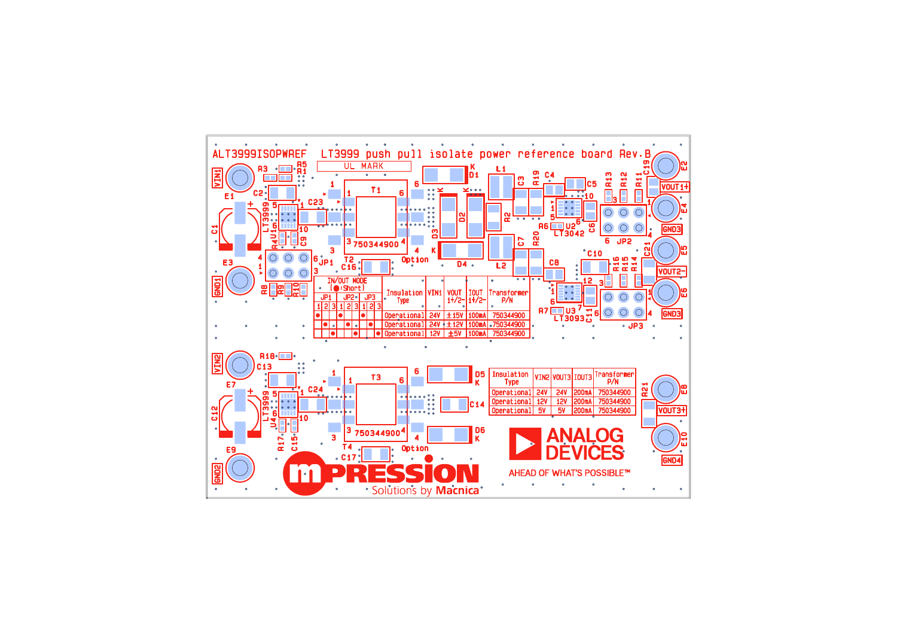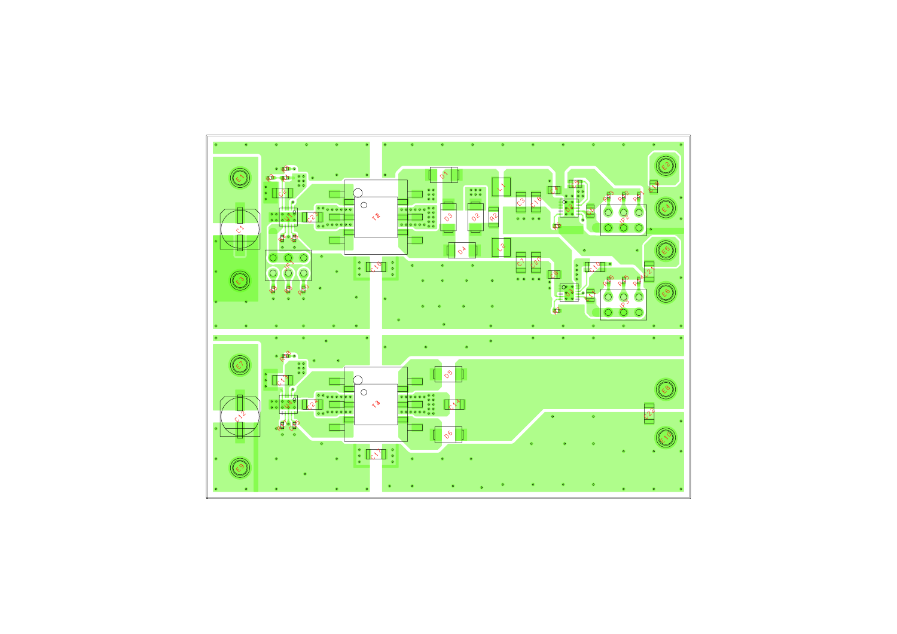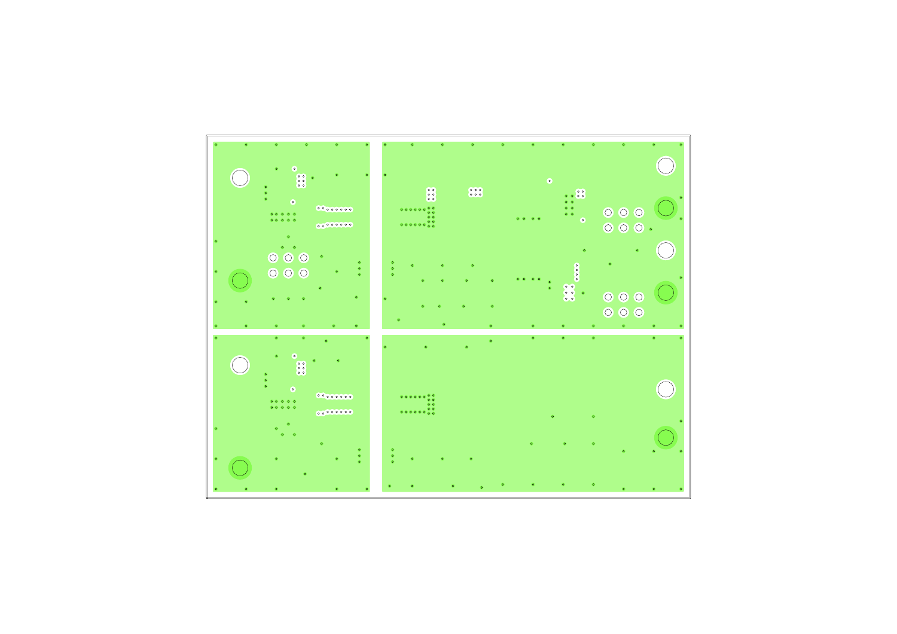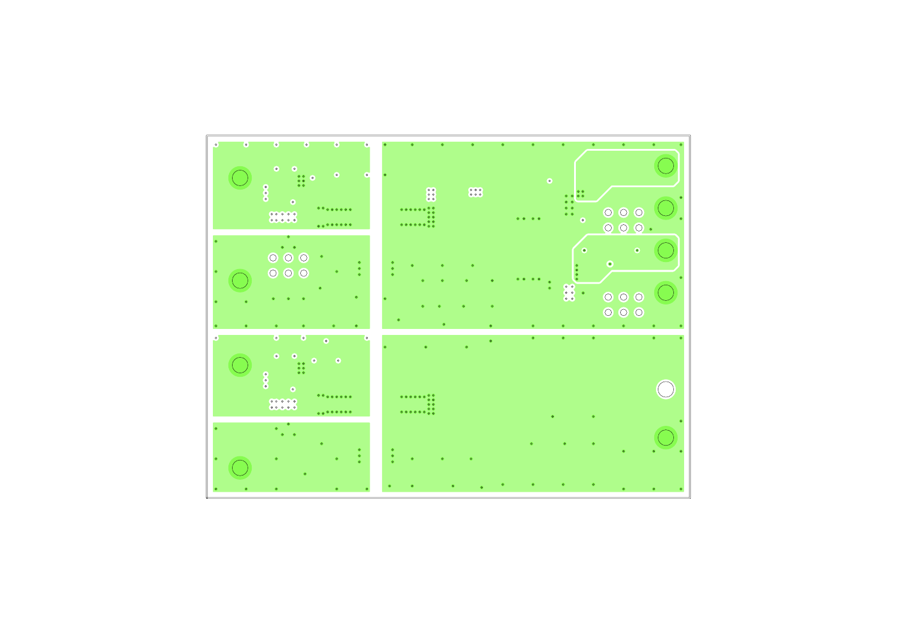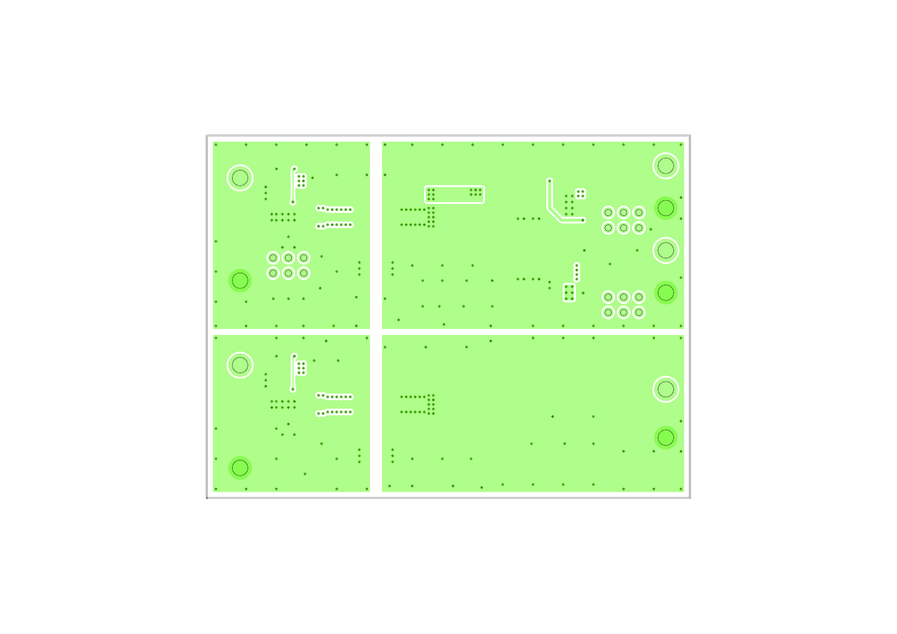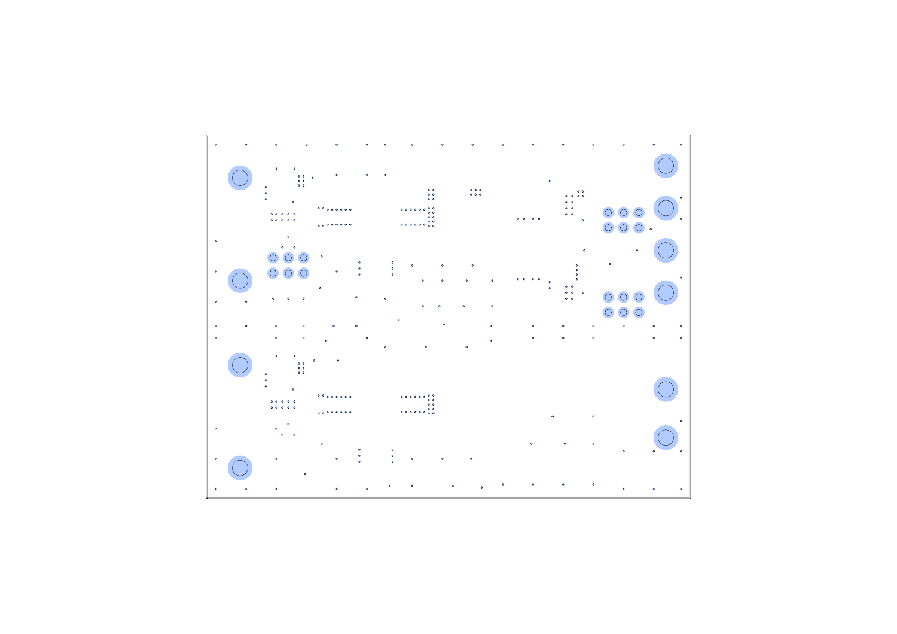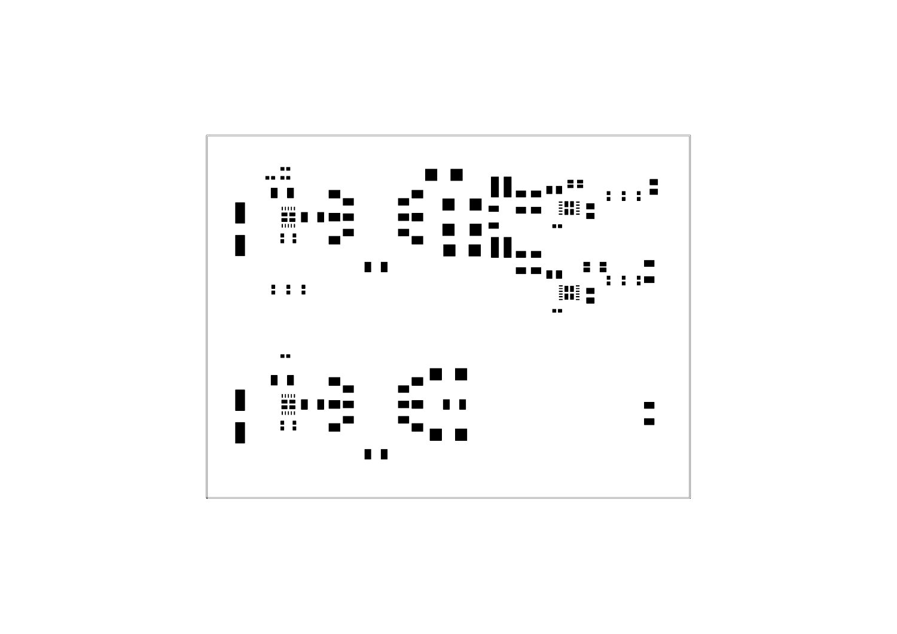